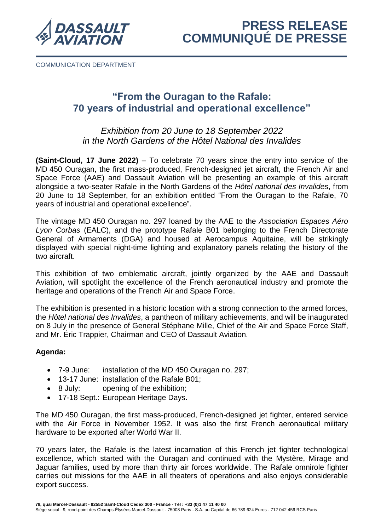

COMMUNICATION DEPARTMENT

# **"From the Ouragan to the Rafale: 70 years of industrial and operational excellence"**

## *Exhibition from 20 June to 18 September 2022 in the North Gardens of the Hôtel National des Invalides*

**(Saint-Cloud, 17 June 2022)** – To celebrate 70 years since the entry into service of the MD 450 Ouragan, the first mass-produced, French-designed jet aircraft, the French Air and Space Force (AAE) and Dassault Aviation will be presenting an example of this aircraft alongside a two-seater Rafale in the North Gardens of the *Hôtel national des Invalides*, from 20 June to 18 September, for an exhibition entitled "From the Ouragan to the Rafale, 70 years of industrial and operational excellence".

The vintage MD 450 Ouragan no. 297 loaned by the AAE to the *Association Espaces Aéro Lyon Corbas* (EALC), and the prototype Rafale B01 belonging to the French Directorate General of Armaments (DGA) and housed at Aerocampus Aquitaine, will be strikingly displayed with special night-time lighting and explanatory panels relating the history of the two aircraft.

This exhibition of two emblematic aircraft, jointly organized by the AAE and Dassault Aviation, will spotlight the excellence of the French aeronautical industry and promote the heritage and operations of the French Air and Space Force.

The exhibition is presented in a historic location with a strong connection to the armed forces, the *Hôtel national des Invalides*, a pantheon of military achievements, and will be inaugurated on 8 July in the presence of General Stéphane Mille, Chief of the Air and Space Force Staff, and Mr. Éric Trappier, Chairman and CEO of Dassault Aviation.

## **Agenda:**

- 7-9 June: installation of the MD 450 Ouragan no. 297;
- 13-17 June: installation of the Rafale B01;
- 8 July: opening of the exhibition;
- 17-18 Sept.: European Heritage Days.

The MD 450 Ouragan, the first mass-produced, French-designed jet fighter, entered service with the Air Force in November 1952. It was also the first French aeronautical military hardware to be exported after World War II.

70 years later, the Rafale is the latest incarnation of this French jet fighter technological excellence, which started with the Ouragan and continued with the Mystère, Mirage and Jaguar families, used by more than thirty air forces worldwide. The Rafale omnirole fighter carries out missions for the AAE in all theaters of operations and also enjoys considerable export success.